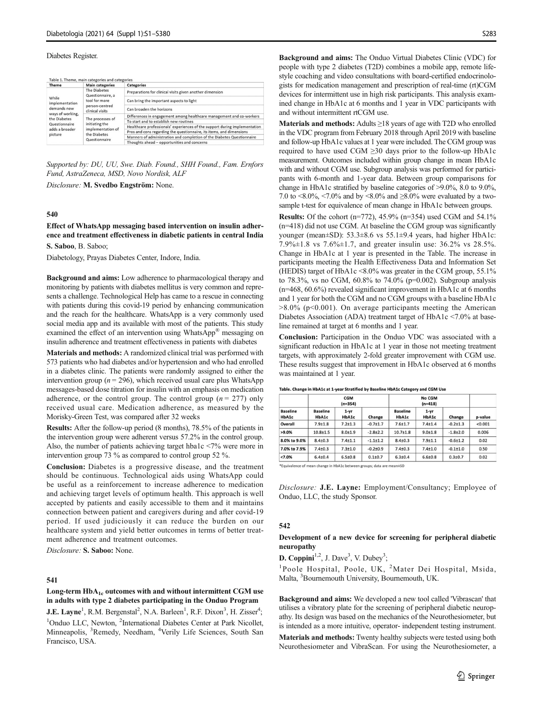#### Diabetes Register.

Table 1. Theme, main categories and categories

| Theme                                                                                         | <b>Main categories</b>                                                                   | Categories                                                                 |  |  |
|-----------------------------------------------------------------------------------------------|------------------------------------------------------------------------------------------|----------------------------------------------------------------------------|--|--|
|                                                                                               | The Diabetes<br>Questionnaire, a                                                         | Preparations for clinical visits given another dimension                   |  |  |
| While<br>implementation                                                                       | tool for more<br>person-centred<br>clinical visits                                       | Can bring the important aspects to light                                   |  |  |
| demands new<br>ways of working,<br>the Diabetes<br>Questionnaire<br>adds a broader<br>picture |                                                                                          | Can broaden the horizons                                                   |  |  |
|                                                                                               | The processes of<br>initiating the<br>implementation of<br>the Diabetes<br>Questionnaire | Differences in engagement among healthcare management and co-workers       |  |  |
|                                                                                               |                                                                                          | To start and to establish new routines                                     |  |  |
|                                                                                               |                                                                                          | Healthcare professionals' experiences of the support during implementation |  |  |
|                                                                                               |                                                                                          | Pros and cons regarding the questionnaire, its items, and dimensions       |  |  |
|                                                                                               |                                                                                          | Manners of administration and completion of the Diabetes Questionnaire     |  |  |
|                                                                                               |                                                                                          | Thoughts ahead - opportunities and concerns                                |  |  |

Supported by: DU, UU, Swe. Diab. Found., SHH Found., Fam. Ernfors Fund, AstraZeneca, MSD, Novo Nordisk, ALF

Disclosure: M. Svedbo Engström: None.

## 540

Effect of WhatsApp messaging based intervention on insulin adherence and treatment effectiveness in diabetic patients in central India S. Saboo, B. Saboo;

Diabetology, Prayas Diabetes Center, Indore, India.

Background and aims: Low adherence to pharmacological therapy and monitoring by patients with diabetes mellitus is very common and represents a challenge. Technological Help has came to a rescue in connecting with patients during this covid-19 period by enhancing communication and the reach for the healthcare. WhatsApp is a very commonly used social media app and its available with most of the patients. This study examined the effect of an intervention using WhatsApp® messaging on insulin adherence and treatment effectiveness in patients with diabetes

Materials and methods: A randomized clinical trial was performed with 573 patients who had diabetes and/or hypertension and who had enrolled in a diabetes clinic. The patients were randomly assigned to either the intervention group ( $n = 296$ ), which received usual care plus WhatsApp messages-based dose titration for insulin with an emphasis on medication adherence, or the control group. The control group ( $n = 277$ ) only received usual care. Medication adherence, as measured by the Morisky-Green Test, was compared after 32 weeks

Results: After the follow-up period (8 months), 78.5% of the patients in the intervention group were adherent versus 57.2% in the control group. Also, the number of patients achieving target hba1c <7% were more in intervention group 73 % as compared to control group 52 %.

Conclusion: Diabetes is a progressive disease, and the treatment should be continuous. Technological aids using WhatsApp could be useful as a reinforcement to increase adherence to medication and achieving target levels of optimum health. This approach is well accepted by patients and easily accessible to them and it maintains connection between patient and caregivers during and after covid-19 period. If used judiciously it can reduce the burden on our healthcare system and yield better outcomes in terms of better treatment adherence and treatment outcomes.

Disclosure: S. Saboo: None.

## 541

## Long-term HbA<sub>1c</sub> outcomes with and without intermittent CGM use in adults with type 2 diabetes participating in the Onduo Program

J.E. Layne<sup>1</sup>, R.M. Bergenstal<sup>2</sup>, N.A. Barleen<sup>1</sup>, R.F. Dixon<sup>3</sup>, H. Zisser<sup>4</sup>; <sup>1</sup>Onduo LLC, Newton, <sup>2</sup>International Diabetes Center at Park Nicollet, Minneapolis, <sup>3</sup>Remedy, Needham, <sup>4</sup>Verily Life Sciences, South San Francisco, USA.

Background and aims: The Onduo Virtual Diabetes Clinic (VDC) for people with type 2 diabetes (T2D) combines a mobile app, remote lifestyle coaching and video consultations with board-certified endocrinologists for medication management and prescription of real-time (rt)CGM devices for intermittent use in high risk participants. This analysis examined change in HbA1c at 6 months and 1 year in VDC participants with and without intermittent rtCGM use.

Materials and methods: Adults ≥18 years of age with T2D who enrolled in the VDC program from February 2018 through April 2019 with baseline and follow-up HbA1c values at 1 year were included. The CGM group was required to have used CGM ≥30 days prior to the follow-up HbA1c measurement. Outcomes included within group change in mean HbA1c with and without CGM use. Subgroup analysis was performed for participants with 6-month and 1-year data. Between group comparisons for change in HbA1c stratified by baseline categories of >9.0%, 8.0 to 9.0%, 7.0 to  $\langle 8.0\%, \langle 7.0\% \rangle$  and by  $\langle 8.0\% \rangle$  and  $\geq 8.0\%$  were evaluated by a twosample t-test for equivalence of mean change in HbA1c between groups.

Results: Of the cohort (n=772), 45.9% (n=354) used CGM and 54.1% (n=418) did not use CGM. At baseline the CGM group was significantly younger (mean±SD): 53.3±8.6 vs 55.1±9.4 years, had higher HbA1c: 7.9%±1.8 vs 7.6%±1.7, and greater insulin use: 36.2% vs 28.5%. Change in HbA1c at 1 year is presented in the Table. The increase in participants meeting the Health Effectiveness Data and Information Set (HEDIS) target of HbA1c <8.0% was greater in the CGM group, 55.1% to 78.3%, vs no CGM, 60.8% to 74.0% (p=0.002). Subgroup analysis (n=468, 60.6%) revealed significant improvement in HbA1c at 6 months and 1 year for both the CGM and no CGM groups with a baseline HbA1c  $>8.0\%$  (p<0.001). On average participants meeting the American Diabetes Association (ADA) treatment target of HbA1c <7.0% at baseline remained at target at 6 months and 1 year.

Conclusion: Participation in the Onduo VDC was associated with a significant reduction in HbA1c at 1 year in those not meeting treatment targets, with approximately 2-fold greater improvement with CGM use. These results suggest that improvement in HbA1c observed at 6 months was maintained at 1 year.

| <b>Baseline</b><br>HbA1c | <b>CGM</b><br>$(n=354)$  |                   |              | No CGM<br>$(n=418)$      |                   |                |         |
|--------------------------|--------------------------|-------------------|--------------|--------------------------|-------------------|----------------|---------|
|                          | <b>Baseline</b><br>HbA1c | $1 - yr$<br>HbA1c | Change       | <b>Baseline</b><br>HbA1c | $1 - yr$<br>HbA1c | Change         | p-value |
| Overall                  | $7.9 + 1.8$              | $7.2 + 1.3$       | $-0.7 + 1.7$ | $7.6 + 1.7$              | $7.4 + 1.4$       | $-0.2 \pm 1.3$ | < 0.001 |
| >9.0%                    | $10.8 + 1.5$             | $8.0 + 1.9$       | $-2.8+2.2$   | $10.7 + 1.8$             | $9.0 + 1.8$       | $-1.8 + 2.0$   | 0.006   |
| 8.0% to 9.0%             | $8.4 + 0.3$              | $7.4 + 1.1$       | $-1.1+1.2$   | $8.4 + 0.3$              | $7.9 + 1.1$       | $-0.6{\pm}1.2$ | 0.02    |
| 7.0% to 7.9%             | $7.4 + 0.3$              | $7.3 + 1.0$       | $-0.2 + 0.9$ | $7.4 + 0.3$              | $7.4 \pm 1.0$     | $-0.1 + 1.0$   | 0.50    |
| < 7.0%                   | $6.4{\pm}0.4$            | $6.5 \pm 0.8$     | $0.1 + 0.7$  | $6.3{\pm}0.4$            | $6.6{\pm}0.8$     | $0.3 + 0.7$    | 0.02    |

Table. Change in HbA1c at 1-year Stratified by Baseline HbA1c Category and CGM Use

\*Equivalence of mean change in HbA1c between groups; data are mean±SD

Disclosure: J.E. Layne: Employment/Consultancy; Employee of Onduo, LLC, the study Sponsor.

### 542

#### Development of a new device for screening for peripheral diabetic neuropathy

D. Coppini<sup>1,2</sup>, J. Dave<sup>3</sup>, V. Dubey<sup>3</sup>;

<sup>1</sup>Poole Hospital, Poole, UK, <sup>2</sup>Mater Dei Hospital, Msida, Malta, <sup>3</sup> Bournemouth University, Bournemouth, UK.

Background and aims: We developed a new tool called 'Vibrascan' that utilises a vibratory plate for the screening of peripheral diabetic neuropathy. Its design was based on the mechanics of the Neurothesiometer, but is intended as a more intuitive, operator- independent testing instrument.

Materials and methods: Twenty healthy subjects were tested using both Neurothesiometer and VibraScan. For using the Neurothesiometer, a